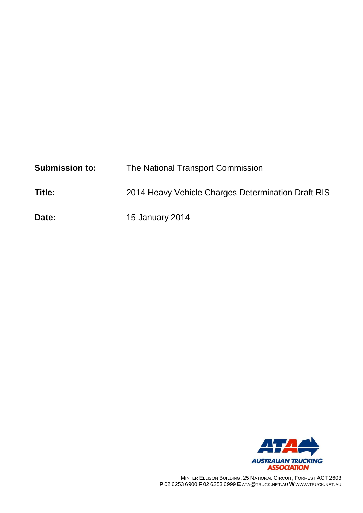| <b>Submission to:</b> | The National Transport Commission                  |
|-----------------------|----------------------------------------------------|
| Title:                | 2014 Heavy Vehicle Charges Determination Draft RIS |
| Date:                 | <b>15 January 2014</b>                             |



MINTER ELLISON BUILDING, 25 NATIONAL CIRCUIT, FORREST ACT 2603 **P** 02 6253 6900 **F** 02 6253 6999 **E** ATA@TRUCK.NET.AU **W** WWW.TRUCK.NET.AU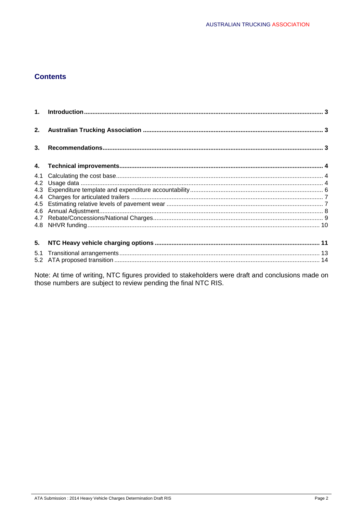### **Contents**

| 2. |  |
|----|--|
| 3. |  |
|    |  |
|    |  |
|    |  |
|    |  |
|    |  |
|    |  |
|    |  |
|    |  |
|    |  |
| 5. |  |
|    |  |
|    |  |

Note: At time of writing, NTC figures provided to stakeholders were draft and conclusions made on those numbers are subject to review pending the final NTC RIS.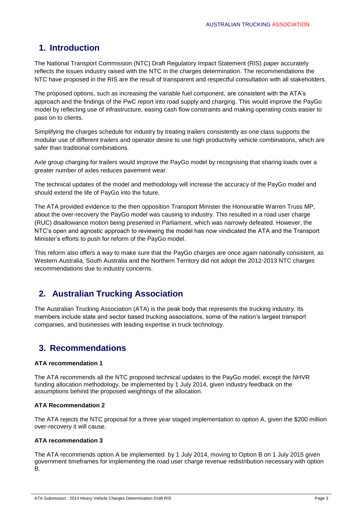# **1. Introduction**

The National Transport Commission (NTC) Draft Regulatory Impact Statement (RIS) paper accurately reflects the issues industry raised with the NTC in the charges determination. The recommendations the NTC have proposed in the RIS are the result of transparent and respectful consultation with all stakeholders.

The proposed options, such as increasing the variable fuel component, are consistent with the ATA's approach and the findings of the PwC report into road supply and charging. This would improve the PayGo model by reflecting use of infrastructure, easing cash flow constraints and making operating costs easier to pass on to clients.

Simplifying the charges schedule for industry by treating trailers consistently as one class supports the modular use of different trailers and operator desire to use high productivity vehicle combinations, which are safer than traditional combinations.

Axle group charging for trailers would improve the PayGo model by recognising that sharing loads over a greater number of axles reduces pavement wear.

The technical updates of the model and methodology will increase the accuracy of the PayGo model and should extend the life of PayGo into the future.

The ATA provided evidence to the then opposition Transport Minister the Honourable Warren Truss MP, about the over-recovery the PayGo model was causing to industry. This resulted in a road user charge (RUC) disallowance motion being presented in Parliament, which was narrowly defeated. However, the NTC's open and agnostic approach to reviewing the model has now vindicated the ATA and the Transport Minister's efforts to push for reform of the PayGo model.

This reform also offers a way to make sure that the PayGo charges are once again nationally consistent, as Western Australia, South Australia and the Northern Territory did not adopt the 2012-2013 NTC charges recommendations due to industry concerns.

# **2. Australian Trucking Association**

The Australian Trucking Association (ATA) is the peak body that represents the trucking industry. Its members include state and sector based trucking associations, some of the nation's largest transport companies, and businesses with leading expertise in truck technology.

### **3. Recommendations**

### **ATA recommendation 1**

The ATA recommends all the NTC proposed technical updates to the PayGo model, except the NHVR funding allocation methodology, be implemented by 1 July 2014, given industry feedback on the assumptions behind the proposed weightings of the allocation.

### **ATA Recommendation 2**

The ATA rejects the NTC proposal for a three year staged implementation to option A, given the \$200 million over-recovery it will cause.

### **ATA recommendation 3**

The ATA recommends option A be implemented by 1 July 2014, moving to Option B on 1 July 2015 given government timeframes for implementing the road user charge revenue redistribution necessary with option B.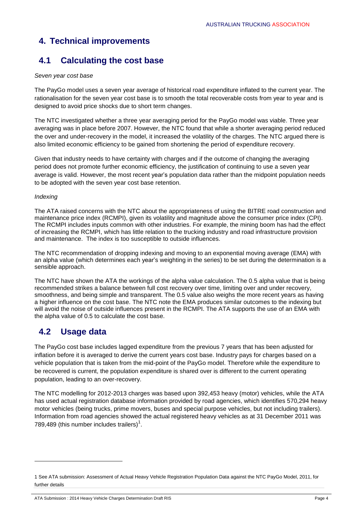# **4. Technical improvements**

# **4.1 Calculating the cost base**

### *Seven year cost base*

The PayGo model uses a seven year average of historical road expenditure inflated to the current year. The rationalisation for the seven year cost base is to smooth the total recoverable costs from year to year and is designed to avoid price shocks due to short term changes.

The NTC investigated whether a three year averaging period for the PayGo model was viable. Three year averaging was in place before 2007. However, the NTC found that while a shorter averaging period reduced the over and under-recovery in the model, it increased the volatility of the charges. The NTC argued there is also limited economic efficiency to be gained from shortening the period of expenditure recovery.

Given that industry needs to have certainty with charges and if the outcome of changing the averaging period does not promote further economic efficiency, the justification of continuing to use a seven year average is valid. However, the most recent year's population data rather than the midpoint population needs to be adopted with the seven year cost base retention.

### *Indexing*

The ATA raised concerns with the NTC about the appropriateness of using the BITRE road construction and maintenance price index (RCMPI), given its volatility and magnitude above the consumer price index (CPI). The RCMPI includes inputs common with other industries. For example, the mining boom has had the effect of increasing the RCMPI, which has little relation to the trucking industry and road infrastructure provision and maintenance. The index is too susceptible to outside influences.

The NTC recommendation of dropping indexing and moving to an exponential moving average (EMA) with an alpha value (which determines each year's weighting in the series) to be set during the determination is a sensible approach.

The NTC have shown the ATA the workings of the alpha value calculation. The 0.5 alpha value that is being recommended strikes a balance between full cost recovery over time, limiting over and under recovery, smoothness, and being simple and transparent. The 0.5 value also weighs the more recent years as having a higher influence on the cost base. The NTC note the EMA produces similar outcomes to the indexing but will avoid the noise of outside influences present in the RCMPI. The ATA supports the use of an EMA with the alpha value of 0.5 to calculate the cost base.

# **4.2 Usage data**

 $\overline{a}$ 

The PayGo cost base includes lagged expenditure from the previous 7 years that has been adjusted for inflation before it is averaged to derive the current years cost base. Industry pays for charges based on a vehicle population that is taken from the mid-point of the PayGo model. Therefore while the expenditure to be recovered is current, the population expenditure is shared over is different to the current operating population, leading to an over-recovery.

The NTC modelling for 2012-2013 charges was based upon 392,453 heavy (motor) vehicles, while the ATA has used actual registration database information provided by road agencies, which identifies 570,294 heavy motor vehicles (being trucks, prime movers, buses and special purpose vehicles, but not including trailers). Information from road agencies showed the actual registered heavy vehicles as at 31 December 2011 was 789,489 (this number includes trailers) $<sup>1</sup>$ .</sup>

ATA Submission : 2014 Heavy Vehicle Charges Determination Draft RIS **Page 4** ATA Submission : 2014 Heavy Vehicle Charges Determination Draft RIS

<sup>1</sup> See ATA submission: Assessment of Actual Heavy Vehicle Registration Population Data against the NTC PayGo Model, 2011, for further details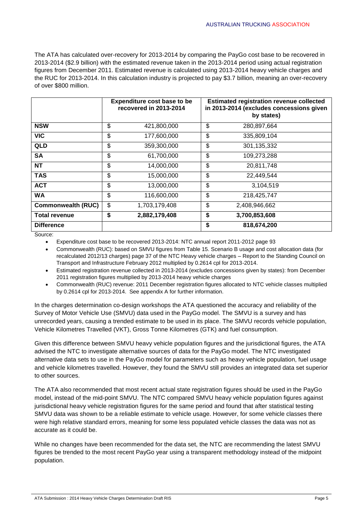The ATA has calculated over-recovery for 2013-2014 by comparing the PayGo cost base to be recovered in 2013-2014 (\$2.9 billion) with the estimated revenue taken in the 2013-2014 period using actual registration figures from December 2011. Estimated revenue is calculated using 2013-2014 heavy vehicle charges and the RUC for 2013-2014. In this calculation industry is projected to pay \$3.7 billion, meaning an over-recovery of over \$800 million.

|                           | <b>Expenditure cost base to be</b><br>recovered in 2013-2014 |               | <b>Estimated registration revenue collected</b><br>in 2013-2014 (excludes concessions given<br>by states) |               |
|---------------------------|--------------------------------------------------------------|---------------|-----------------------------------------------------------------------------------------------------------|---------------|
| <b>NSW</b>                | \$                                                           | 421,800,000   | \$                                                                                                        | 280,897,664   |
| <b>VIC</b>                | \$                                                           | 177,600,000   | \$                                                                                                        | 335,809,104   |
| <b>QLD</b>                | \$                                                           | 359,300,000   | \$                                                                                                        | 301, 135, 332 |
| SA                        | \$                                                           | 61,700,000    | \$                                                                                                        | 109,273,288   |
| NT                        | \$                                                           | 14,000,000    | \$                                                                                                        | 20,811,748    |
| <b>TAS</b>                | \$                                                           | 15,000,000    | \$                                                                                                        | 22,449,544    |
| <b>ACT</b>                | \$                                                           | 13.000.000    | \$                                                                                                        | 3.104.519     |
| WA                        | \$                                                           | 116,600,000   | \$                                                                                                        | 218,425,747   |
| <b>Commonwealth (RUC)</b> | \$                                                           | 1,703,179,408 | \$                                                                                                        | 2,408,946,662 |
| <b>Total revenue</b>      | \$                                                           | 2,882,179,408 | \$                                                                                                        | 3,700,853,608 |
| <b>Difference</b>         |                                                              |               | \$                                                                                                        | 818,674,200   |

Source:

Expenditure cost base to be recovered 2013-2014: NTC annual report 2011-2012 page 93

 Commonwealth (RUC): based on SMVU figures from Table 15. Scenario B usage and cost allocation data (for recalculated 2012/13 charges) page 37 of the NTC Heavy vehicle charges – Report to the Standing Council on Transport and Infrastructure February 2012 multiplied by 0.2614 cpl for 2013-2014.

- Estimated registration revenue collected in 2013-2014 (excludes concessions given by states): from December 2011 registration figures multiplied by 2013-2014 heavy vehicle charges
- Commonwealth (RUC) revenue: 2011 December registration figures allocated to NTC vehicle classes multiplied by 0.2614 cpl for 2013-2014. See appendix A for further information.

In the charges determination co-design workshops the ATA questioned the accuracy and reliability of the Survey of Motor Vehicle Use (SMVU) data used in the PayGo model. The SMVU is a survey and has unrecorded years, causing a trended estimate to be used in its place. The SMVU records vehicle population, Vehicle Kilometres Travelled (VKT), Gross Tonne Kilometres (GTK) and fuel consumption.

Given this difference between SMVU heavy vehicle population figures and the jurisdictional figures, the ATA advised the NTC to investigate alternative sources of data for the PayGo model. The NTC investigated alternative data sets to use in the PayGo model for parameters such as heavy vehicle population, fuel usage and vehicle kilometres travelled. However, they found the SMVU still provides an integrated data set superior to other sources.

The ATA also recommended that most recent actual state registration figures should be used in the PayGo model, instead of the mid-point SMVU. The NTC compared SMVU heavy vehicle population figures against jurisdictional heavy vehicle registration figures for the same period and found that after statistical testing SMVU data was shown to be a reliable estimate to vehicle usage. However, for some vehicle classes there were high relative standard errors, meaning for some less populated vehicle classes the data was not as accurate as it could be.

While no changes have been recommended for the data set, the NTC are recommending the latest SMVU figures be trended to the most recent PayGo year using a transparent methodology instead of the midpoint population.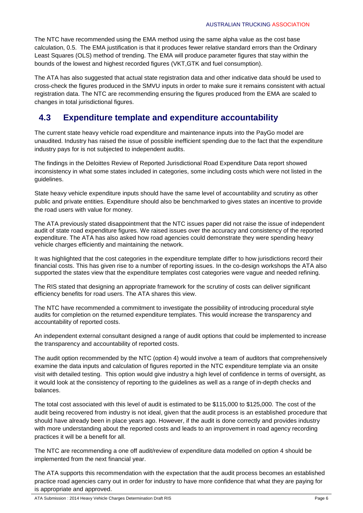The NTC have recommended using the EMA method using the same alpha value as the cost base calculation, 0.5. The EMA justification is that it produces fewer relative standard errors than the Ordinary Least Squares (OLS) method of trending. The EMA will produce parameter figures that stay within the bounds of the lowest and highest recorded figures (VKT,GTK and fuel consumption).

The ATA has also suggested that actual state registration data and other indicative data should be used to cross-check the figures produced in the SMVU inputs in order to make sure it remains consistent with actual registration data. The NTC are recommending ensuring the figures produced from the EMA are scaled to changes in total jurisdictional figures.

## **4.3 Expenditure template and expenditure accountability**

The current state heavy vehicle road expenditure and maintenance inputs into the PayGo model are unaudited. Industry has raised the issue of possible inefficient spending due to the fact that the expenditure industry pays for is not subjected to independent audits.

The findings in the Deloittes Review of Reported Jurisdictional Road Expenditure Data report showed inconsistency in what some states included in categories, some including costs which were not listed in the guidelines.

State heavy vehicle expenditure inputs should have the same level of accountability and scrutiny as other public and private entities. Expenditure should also be benchmarked to gives states an incentive to provide the road users with value for money.

The ATA previously stated disappointment that the NTC issues paper did not raise the issue of independent audit of state road expenditure figures. We raised issues over the accuracy and consistency of the reported expenditure. The ATA has also asked how road agencies could demonstrate they were spending heavy vehicle charges efficiently and maintaining the network.

It was highlighted that the cost categories in the expenditure template differ to how jurisdictions record their financial costs. This has given rise to a number of reporting issues. In the co-design workshops the ATA also supported the states view that the expenditure templates cost categories were vague and needed refining.

The RIS stated that designing an appropriate framework for the scrutiny of costs can deliver significant efficiency benefits for road users. The ATA shares this view.

The NTC have recommended a commitment to investigate the possibility of introducing procedural style audits for completion on the returned expenditure templates. This would increase the transparency and accountability of reported costs.

An independent external consultant designed a range of audit options that could be implemented to increase the transparency and accountability of reported costs.

The audit option recommended by the NTC (option 4) would involve a team of auditors that comprehensively examine the data inputs and calculation of figures reported in the NTC expenditure template via an onsite visit with detailed testing. This option would give industry a high level of confidence in terms of oversight, as it would look at the consistency of reporting to the guidelines as well as a range of in-depth checks and balances.

The total cost associated with this level of audit is estimated to be \$115,000 to \$125,000. The cost of the audit being recovered from industry is not ideal, given that the audit process is an established procedure that should have already been in place years ago. However, if the audit is done correctly and provides industry with more understanding about the reported costs and leads to an improvement in road agency recording practices it will be a benefit for all.

The NTC are recommending a one off audit/review of expenditure data modelled on option 4 should be implemented from the next financial year.

The ATA supports this recommendation with the expectation that the audit process becomes an established practice road agencies carry out in order for industry to have more confidence that what they are paying for is appropriate and approved.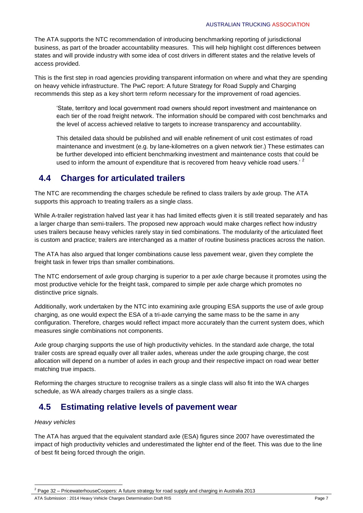The ATA supports the NTC recommendation of introducing benchmarking reporting of jurisdictional business, as part of the broader accountability measures. This will help highlight cost differences between states and will provide industry with some idea of cost drivers in different states and the relative levels of access provided.

This is the first step in road agencies providing transparent information on where and what they are spending on heavy vehicle infrastructure. The PwC report: A future Strategy for Road Supply and Charging recommends this step as a key short term reform necessary for the improvement of road agencies.

'State, territory and local government road owners should report investment and maintenance on each tier of the road freight network. The information should be compared with cost benchmarks and the level of access achieved relative to targets to increase transparency and accountability.

This detailed data should be published and will enable refinement of unit cost estimates of road maintenance and investment (e.g. by lane-kilometres on a given network tier.) These estimates can be further developed into efficient benchmarking investment and maintenance costs that could be used to inform the amount of expenditure that is recovered from heavy vehicle road users.<sup>' 2</sup>

### **4.4 Charges for articulated trailers**

The NTC are recommending the charges schedule be refined to class trailers by axle group. The ATA supports this approach to treating trailers as a single class.

While A-trailer registration halved last year it has had limited effects given it is still treated separately and has a larger charge than semi-trailers. The proposed new approach would make charges reflect how industry uses trailers because heavy vehicles rarely stay in tied combinations. The modularity of the articulated fleet is custom and practice; trailers are interchanged as a matter of routine business practices across the nation.

The ATA has also argued that longer combinations cause less pavement wear, given they complete the freight task in fewer trips than smaller combinations.

The NTC endorsement of axle group charging is superior to a per axle charge because it promotes using the most productive vehicle for the freight task, compared to simple per axle charge which promotes no distinctive price signals.

Additionally, work undertaken by the NTC into examining axle grouping ESA supports the use of axle group charging, as one would expect the ESA of a tri-axle carrying the same mass to be the same in any configuration. Therefore, charges would reflect impact more accurately than the current system does, which measures single combinations not components.

Axle group charging supports the use of high productivity vehicles. In the standard axle charge, the total trailer costs are spread equally over all trailer axles, whereas under the axle grouping charge, the cost allocation will depend on a number of axles in each group and their respective impact on road wear better matching true impacts.

Reforming the charges structure to recognise trailers as a single class will also fit into the WA charges schedule, as WA already charges trailers as a single class.

### **4.5 Estimating relative levels of pavement wear**

### *Heavy vehicles*

1

The ATA has argued that the equivalent standard axle (ESA) figures since 2007 have overestimated the impact of high productivity vehicles and underestimated the lighter end of the fleet. This was due to the line of best fit being forced through the origin.

<sup>2</sup> Page 32 – PricewaterhouseCoopers: A future strategy for road supply and charging in Australia 2013

ATA Submission : 2014 Heavy Vehicle Charges Determination Draft RIS **Page 7** and the state of the Page 7 and 2014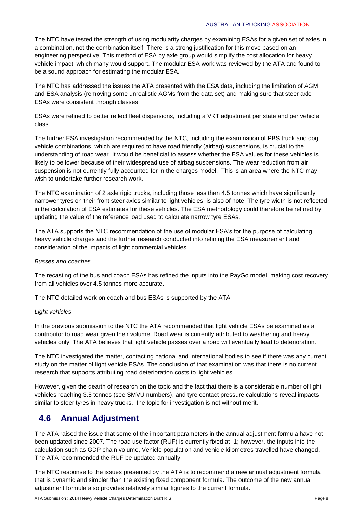#### AUSTRALIAN TRUCKING ASSOCIATION

The NTC have tested the strength of using modularity charges by examining ESAs for a given set of axles in a combination, not the combination itself. There is a strong justification for this move based on an engineering perspective. This method of ESA by axle group would simplify the cost allocation for heavy vehicle impact, which many would support. The modular ESA work was reviewed by the ATA and found to be a sound approach for estimating the modular ESA.

The NTC has addressed the issues the ATA presented with the ESA data, including the limitation of AGM and ESA analysis (removing some unrealistic AGMs from the data set) and making sure that steer axle ESAs were consistent through classes.

ESAs were refined to better reflect fleet dispersions, including a VKT adjustment per state and per vehicle class.

The further ESA investigation recommended by the NTC, including the examination of PBS truck and dog vehicle combinations, which are required to have road friendly (airbag) suspensions, is crucial to the understanding of road wear. It would be beneficial to assess whether the ESA values for these vehicles is likely to be lower because of their widespread use of airbag suspensions. The wear reduction from air suspension is not currently fully accounted for in the charges model. This is an area where the NTC may wish to undertake further research work.

The NTC examination of 2 axle rigid trucks, including those less than 4.5 tonnes which have significantly narrower tyres on their front steer axles similar to light vehicles, is also of note. The tyre width is not reflected in the calculation of ESA estimates for these vehicles. The ESA methodology could therefore be refined by updating the value of the reference load used to calculate narrow tyre ESAs.

The ATA supports the NTC recommendation of the use of modular ESA's for the purpose of calculating heavy vehicle charges and the further research conducted into refining the ESA measurement and consideration of the impacts of light commercial vehicles.

### *Busses and coaches*

The recasting of the bus and coach ESAs has refined the inputs into the PayGo model, making cost recovery from all vehicles over 4.5 tonnes more accurate.

The NTC detailed work on coach and bus ESAs is supported by the ATA

### *Light vehicles*

In the previous submission to the NTC the ATA recommended that light vehicle ESAs be examined as a contributor to road wear given their volume. Road wear is currently attributed to weathering and heavy vehicles only. The ATA believes that light vehicle passes over a road will eventually lead to deterioration.

The NTC investigated the matter, contacting national and international bodies to see if there was any current study on the matter of light vehicle ESAs. The conclusion of that examination was that there is no current research that supports attributing road deterioration costs to light vehicles.

However, given the dearth of research on the topic and the fact that there is a considerable number of light vehicles reaching 3.5 tonnes (see SMVU numbers), and tyre contact pressure calculations reveal impacts similar to steer tyres in heavy trucks, the topic for investigation is not without merit.

### **4.6 Annual Adjustment**

The ATA raised the issue that some of the important parameters in the annual adjustment formula have not been updated since 2007. The road use factor (RUF) is currently fixed at -1; however, the inputs into the calculation such as GDP chain volume, Vehicle population and vehicle kilometres travelled have changed. The ATA recommended the RUF be updated annually.

The NTC response to the issues presented by the ATA is to recommend a new annual adjustment formula that is dynamic and simpler than the existing fixed component formula. The outcome of the new annual adjustment formula also provides relatively similar figures to the current formula.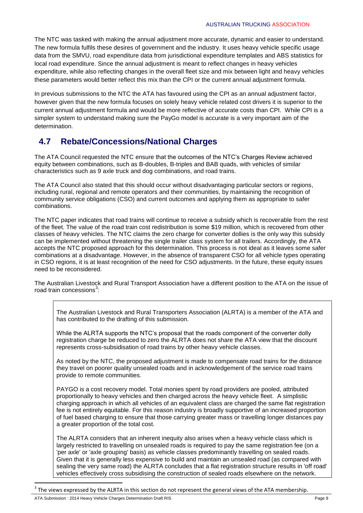The NTC was tasked with making the annual adjustment more accurate, dynamic and easier to understand. The new formula fulfils these desires of government and the industry. It uses heavy vehicle specific usage data from the SMVU, road expenditure data from jurisdictional expenditure templates and ABS statistics for local road expenditure. Since the annual adjustment is meant to reflect changes in heavy vehicles expenditure, while also reflecting changes in the overall fleet size and mix between light and heavy vehicles these parameters would better reflect this mix than the CPI or the current annual adjustment formula.

In previous submissions to the NTC the ATA has favoured using the CPI as an annual adjustment factor, however given that the new formula focuses on solely heavy vehicle related cost drivers it is superior to the current annual adjustment formula and would be more reflective of accurate costs than CPI. While CPI is a simpler system to understand making sure the PayGo model is accurate is a very important aim of the determination.

# **4.7 Rebate/Concessions/National Charges**

The ATA Council requested the NTC ensure that the outcomes of the NTC's Charges Review achieved equity between combinations, such as B-doubles, B-triples and BAB quads, with vehicles of similar characteristics such as 9 axle truck and dog combinations, and road trains.

The ATA Council also stated that this should occur without disadvantaging particular sectors or regions, including rural, regional and remote operators and their communities, by maintaining the recognition of community service obligations (CSO) and current outcomes and applying them as appropriate to safer combinations.

The NTC paper indicates that road trains will continue to receive a subsidy which is recoverable from the rest of the fleet. The value of the road train cost redistribution is some \$19 million, which is recovered from other classes of heavy vehicles. The NTC claims the zero charge for converter dollies is the only way this subsidy can be implemented without threatening the single trailer class system for all trailers. Accordingly, the ATA accepts the NTC proposed approach for this determination. This process is not ideal as it leaves some safer combinations at a disadvantage. However, in the absence of transparent CSO for all vehicle types operating in CSO regions, it is at least recognition of the need for CSO adjustments. In the future, these equity issues need to be reconsidered.

The Australian Livestock and Rural Transport Association have a different position to the ATA on the issue of road train concessions<sup>3</sup>:

The Australian Livestock and Rural Transporters Association (ALRTA) is a member of the ATA and has contributed to the drafting of this submission.

While the ALRTA supports the NTC's proposal that the roads component of the converter dolly registration charge be reduced to zero the ALRTA does not share the ATA view that the discount represents cross-subsidisation of road trains by other heavy vehicle classes.

As noted by the NTC, the proposed adjustment is made to compensate road trains for the distance they travel on poorer quality unsealed roads and in acknowledgement of the service road trains provide to remote communities.

PAYGO is a cost recovery model. Total monies spent by road providers are pooled, attributed proportionally to heavy vehicles and then charged across the heavy vehicle fleet. A simplistic charging approach in which all vehicles of an equivalent class are charged the same flat registration fee is not entirely equitable. For this reason industry is broadly supportive of an increased proportion of fuel based charging to ensure that those carrying greater mass or travelling longer distances pay a greater proportion of the total cost.

The ALRTA considers that an inherent inequity also arises when a heavy vehicle class which is largely restricted to travelling on unsealed roads is required to pay the same registration fee (on a 'per axle' or 'axle grouping' basis) as vehicle classes predominantly travelling on sealed roads. Given that it is generally less expensive to build and maintain an unsealed road (as compared with sealing the very same road) the ALRTA concludes that a flat registration structure results in 'off road' vehicles effectively cross subsidising the construction of sealed roads elsewhere on the network.

1

<sup>3</sup> The views expressed by the ALRTA in this section do not represent the general views of the ATA membership.

ATA Submission : 2014 Heavy Vehicle Charges Determination Draft RIS Page 9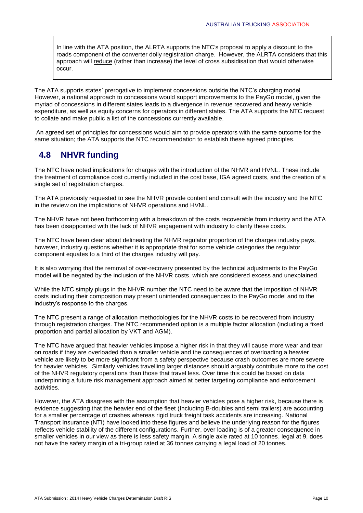In line with the ATA position, the ALRTA supports the NTC's proposal to apply a discount to the roads component of the converter dolly registration charge. However, the ALRTA considers that this approach will reduce (rather than increase) the level of cross subsidisation that would otherwise occur.

The ATA supports states' prerogative to implement concessions outside the NTC's charging model. However, a national approach to concessions would support improvements to the PayGo model, given the myriad of concessions in different states leads to a divergence in revenue recovered and heavy vehicle expenditure, as well as equity concerns for operators in different states. The ATA supports the NTC request to collate and make public a list of the concessions currently available.

An agreed set of principles for concessions would aim to provide operators with the same outcome for the same situation; the ATA supports the NTC recommendation to establish these agreed principles.

## **4.8 NHVR funding**

The NTC have noted implications for charges with the introduction of the NHVR and HVNL. These include the treatment of compliance cost currently included in the cost base, IGA agreed costs, and the creation of a single set of registration charges.

The ATA previously requested to see the NHVR provide content and consult with the industry and the NTC in the review on the implications of NHVR operations and HVNL.

The NHVR have not been forthcoming with a breakdown of the costs recoverable from industry and the ATA has been disappointed with the lack of NHVR engagement with industry to clarify these costs.

The NTC have been clear about delineating the NHVR regulator proportion of the charges industry pays, however, industry questions whether it is appropriate that for some vehicle categories the regulator component equates to a third of the charges industry will pay.

It is also worrying that the removal of over-recovery presented by the technical adjustments to the PayGo model will be negated by the inclusion of the NHVR costs, which are considered excess and unexplained.

While the NTC simply plugs in the NHVR number the NTC need to be aware that the imposition of NHVR costs including their composition may present unintended consequences to the PayGo model and to the industry's response to the charges.

The NTC present a range of allocation methodologies for the NHVR costs to be recovered from industry through registration charges. The NTC recommended option is a multiple factor allocation (including a fixed proportion and partial allocation by VKT and AGM).

The NTC have argued that heavier vehicles impose a higher risk in that they will cause more wear and tear on roads if they are overloaded than a smaller vehicle and the consequences of overloading a heavier vehicle are likely to be more significant from a safety perspective because crash outcomes are more severe for heavier vehicles. Similarly vehicles travelling larger distances should arguably contribute more to the cost of the NHVR regulatory operations than those that travel less. Over time this could be based on data underpinning a future risk management approach aimed at better targeting compliance and enforcement activities.

However, the ATA disagrees with the assumption that heavier vehicles pose a higher risk, because there is evidence suggesting that the heavier end of the fleet (Including B-doubles and semi trailers) are accounting for a smaller percentage of crashes whereas rigid truck freight task accidents are increasing. National Transport Insurance (NTI) have looked into these figures and believe the underlying reason for the figures reflects vehicle stability of the different configurations. Further, over loading is of a greater consequence in smaller vehicles in our view as there is less safety margin. A single axle rated at 10 tonnes, legal at 9, does not have the safety margin of a tri-group rated at 36 tonnes carrying a legal load of 20 tonnes.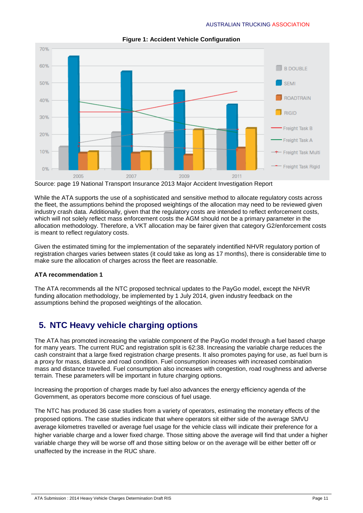

**Figure 1: Accident Vehicle Configuration**

Source: page 19 National Transport Insurance 2013 Major Accident Investigation Report

While the ATA supports the use of a sophisticated and sensitive method to allocate regulatory costs across the fleet, the assumptions behind the proposed weightings of the allocation may need to be reviewed given industry crash data. Additionally, given that the regulatory costs are intended to reflect enforcement costs, which will not solely reflect mass enforcement costs the AGM should not be a primary parameter in the allocation methodology. Therefore, a VKT allocation may be fairer given that category G2/enforcement costs is meant to reflect regulatory costs.

Given the estimated timing for the implementation of the separately indentified NHVR regulatory portion of registration charges varies between states (it could take as long as 17 months), there is considerable time to make sure the allocation of charges across the fleet are reasonable.

### **ATA recommendation 1**

The ATA recommends all the NTC proposed technical updates to the PayGo model, except the NHVR funding allocation methodology, be implemented by 1 July 2014, given industry feedback on the assumptions behind the proposed weightings of the allocation.

### **5. NTC Heavy vehicle charging options**

The ATA has promoted increasing the variable component of the PayGo model through a fuel based charge for many years. The current RUC and registration split is 62:38. Increasing the variable charge reduces the cash constraint that a large fixed registration charge presents. It also promotes paying for use, as fuel burn is a proxy for mass, distance and road condition. Fuel consumption increases with increased combination mass and distance travelled. Fuel consumption also increases with congestion, road roughness and adverse terrain. These parameters will be important in future charging options.

Increasing the proportion of charges made by fuel also advances the energy efficiency agenda of the Government, as operators become more conscious of fuel usage.

The NTC has produced 36 case studies from a variety of operators, estimating the monetary effects of the proposed options. The case studies indicate that where operators sit either side of the average SMVU average kilometres travelled or average fuel usage for the vehicle class will indicate their preference for a higher variable charge and a lower fixed charge. Those sitting above the average will find that under a higher variable charge they will be worse off and those sitting below or on the average will be either better off or unaffected by the increase in the RUC share.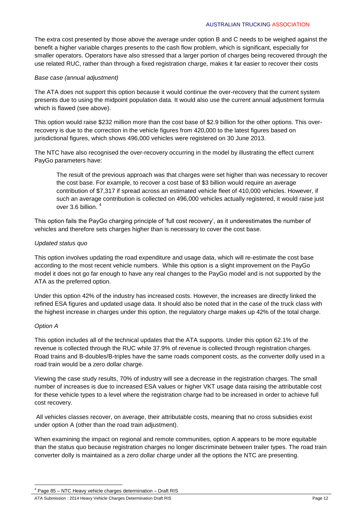#### AUSTRALIAN TRUCKING ASSOCIATION

The extra cost presented by those above the average under option B and C needs to be weighed against the benefit a higher variable charges presents to the cash flow problem, which is significant, especially for smaller operators. Operators have also stressed that a larger portion of charges being recovered through the use related RUC, rather than through a fixed registration charge, makes it far easier to recover their costs

#### *Base case (annual adjustment)*

The ATA does not support this option because it would continue the over-recovery that the current system presents due to using the midpoint population data. It would also use the current annual adjustment formula which is flawed (see above).

This option would raise \$232 million more than the cost base of \$2.9 billion for the other options. This overrecovery is due to the correction in the vehicle figures from 420,000 to the latest figures based on jurisdictional figures, which shows 496,000 vehicles were registered on 30 June 2013.

The NTC have also recognised the over-recovery occurring in the model by illustrating the effect current PayGo parameters have:

The result of the previous approach was that charges were set higher than was necessary to recover the cost base. For example, to recover a cost base of \$3 billion would require an average contribution of \$7,317 if spread across an estimated vehicle fleet of 410,000 vehicles. However, if such an average contribution is collected on 496,000 vehicles actually registered, it would raise just over 3.6 billion.<sup>4</sup>

This option fails the PayGo charging principle of 'full cost recovery', as it underestimates the number of vehicles and therefore sets charges higher than is necessary to cover the cost base.

#### *Updated status quo*

This option involves updating the road expenditure and usage data, which will re-estimate the cost base according to the most recent vehicle numbers. While this option is a slight improvement on the PayGo model it does not go far enough to have any real changes to the PayGo model and is not supported by the ATA as the preferred option.

Under this option 42% of the industry has increased costs. However, the increases are directly linked the refined ESA figures and updated usage data. It should also be noted that in the case of the truck class with the highest increase in charges under this option, the regulatory charge makes up 42% of the total charge.

### *Option A*

1

This option includes all of the technical updates that the ATA supports. Under this option 62.1% of the revenue is collected through the RUC while 37.9% of revenue is collected through registration charges. Road trains and B-doubles/B-triples have the same roads component costs, as the converter dolly used in a road train would be a zero dollar charge.

Viewing the case study results, 70% of industry will see a decrease in the registration charges. The small number of increases is due to increased ESA values or higher VKT usage data raising the attributable cost for these vehicle types to a level where the registration charge had to be increased in order to achieve full cost recovery.

All vehicles classes recover, on average, their attributable costs, meaning that no cross subsidies exist under option A (other than the road train adjustment).

When examining the impact on regional and remote communities, option A appears to be more equitable than the status quo because registration charges no longer discriminate between trailer types. The road train converter dolly is maintained as a zero dollar charge under all the options the NTC are presenting.

<sup>4</sup> Page 85 – NTC Heavy vehicle charges determination – Draft RIS

ATA Submission : 2014 Heavy Vehicle Charges Determination Draft RIS **Page 12** Page 12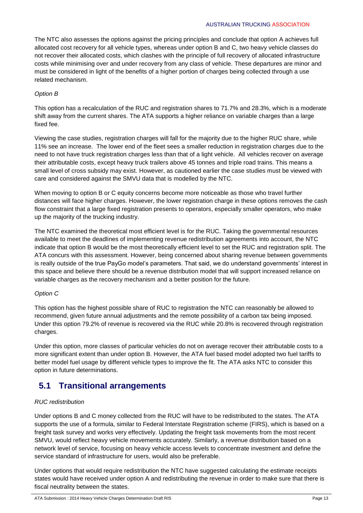#### AUSTRALIAN TRUCKING ASSOCIATION

The NTC also assesses the options against the pricing principles and conclude that option A achieves full allocated cost recovery for all vehicle types, whereas under option B and C, two heavy vehicle classes do not recover their allocated costs, which clashes with the principle of full recovery of allocated infrastructure costs while minimising over and under recovery from any class of vehicle. These departures are minor and must be considered in light of the benefits of a higher portion of charges being collected through a use related mechanism.

### *Option B*

This option has a recalculation of the RUC and registration shares to 71.7% and 28.3%, which is a moderate shift away from the current shares. The ATA supports a higher reliance on variable charges than a large fixed fee.

Viewing the case studies, registration charges will fall for the majority due to the higher RUC share, while 11% see an increase. The lower end of the fleet sees a smaller reduction in registration charges due to the need to not have truck registration charges less than that of a light vehicle. All vehicles recover on average their attributable costs, except heavy truck trailers above 45 tonnes and triple road trains. This means a small level of cross subsidy may exist. However, as cautioned earlier the case studies must be viewed with care and considered against the SMVU data that is modelled by the NTC.

When moving to option B or C equity concerns become more noticeable as those who travel further distances will face higher charges. However, the lower registration charge in these options removes the cash flow constraint that a large fixed registration presents to operators, especially smaller operators, who make up the majority of the trucking industry.

The NTC examined the theoretical most efficient level is for the RUC. Taking the governmental resources available to meet the deadlines of implementing revenue redistribution agreements into account, the NTC indicate that option B would be the most theoretically efficient level to set the RUC and registration split. The ATA concurs with this assessment. However, being concerned about sharing revenue between governments is really outside of the true PayGo model's parameters. That said, we do understand governments' interest in this space and believe there should be a revenue distribution model that will support increased reliance on variable charges as the recovery mechanism and a better position for the future.

### *Option C*

This option has the highest possible share of RUC to registration the NTC can reasonably be allowed to recommend, given future annual adjustments and the remote possibility of a carbon tax being imposed. Under this option 79.2% of revenue is recovered via the RUC while 20.8% is recovered through registration charges.

Under this option, more classes of particular vehicles do not on average recover their attributable costs to a more significant extent than under option B. However, the ATA fuel based model adopted two fuel tariffs to better model fuel usage by different vehicle types to improve the fit. The ATA asks NTC to consider this option in future determinations.

### **5.1 Transitional arrangements**

### *RUC redistribution*

Under options B and C money collected from the RUC will have to be redistributed to the states. The ATA supports the use of a formula, similar to Federal Interstate Registration scheme (FIRS), which is based on a freight task survey and works very effectively. Updating the freight task movements from the most recent SMVU, would reflect heavy vehicle movements accurately. Similarly, a revenue distribution based on a network level of service, focusing on heavy vehicle access levels to concentrate investment and define the service standard of infrastructure for users, would also be preferable.

Under options that would require redistribution the NTC have suggested calculating the estimate receipts states would have received under option A and redistributing the revenue in order to make sure that there is fiscal neutrality between the states.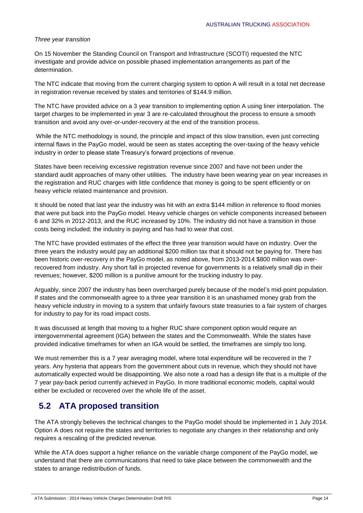### *Three year transition*

On 15 November the Standing Council on Transport and Infrastructure (SCOTI) requested the NTC investigate and provide advice on possible phased implementation arrangements as part of the determination.

The NTC indicate that moving from the current charging system to option A will result in a total net decrease in registration revenue received by states and territories of \$144.9 million.

The NTC have provided advice on a 3 year transition to implementing option A using liner interpolation. The target charges to be implemented in year 3 are re-calculated throughout the process to ensure a smooth transition and avoid any over-or-under-recovery at the end of the transition process.

While the NTC methodology is sound, the principle and impact of this slow transition, even just correcting internal flaws in the PayGo model, would be seen as states accepting the over-taxing of the heavy vehicle industry in order to please state Treasury's forward projections of revenue.

States have been receiving excessive registration revenue since 2007 and have not been under the standard audit approaches of many other utilities. The industry have been wearing year on year increases in the registration and RUC charges with little confidence that money is going to be spent efficiently or on heavy vehicle related maintenance and provision.

It should be noted that last year the industry was hit with an extra \$144 million in reference to flood monies that were put back into the PayGo model. Heavy vehicle charges on vehicle components increased between 6 and 32% in 2012-2013, and the RUC increased by 10%. The industry did not have a transition in those costs being included; the industry is paying and has had to wear that cost.

The NTC have provided estimates of the effect the three year transition would have on industry. Over the three years the industry would pay an additional \$200 million tax that it should not be paying for. There has been historic over-recovery in the PayGo model, as noted above, from 2013-2014 \$800 million was overrecovered from industry. Any short fall in projected revenue for governments is a relatively small dip in their revenues; however, \$200 million is a punitive amount for the trucking industry to pay.

Arguably, since 2007 the industry has been overcharged purely because of the model's mid-point population. If states and the commonwealth agree to a three year transition it is an unashamed money grab from the heavy vehicle industry in moving to a system that unfairly favours state treasuries to a fair system of charges for industry to pay for its road impact costs.

It was discussed at length that moving to a higher RUC share component option would require an intergovernmental agreement (IGA) between the states and the Commonwealth. While the states have provided indicative timeframes for when an IGA would be settled, the timeframes are simply too long.

We must remember this is a 7 year averaging model, where total expenditure will be recovered in the 7 years. Any hysteria that appears from the government about cuts in revenue, which they should not have automatically expected would be disappointing. We also note a road has a design life that is a multiple of the 7 year pay-back period currently achieved in PayGo. In more traditional economic models, capital would either be excluded or recovered over the whole life of the asset.

# **5.2 ATA proposed transition**

The ATA strongly believes the technical changes to the PayGo model should be implemented in 1 July 2014. Option A does not require the states and territories to negotiate any changes in their relationship and only requires a rescaling of the predicted revenue.

While the ATA does support a higher reliance on the variable charge component of the PayGo model, we understand that there are communications that need to take place between the commonwealth and the states to arrange redistribution of funds.